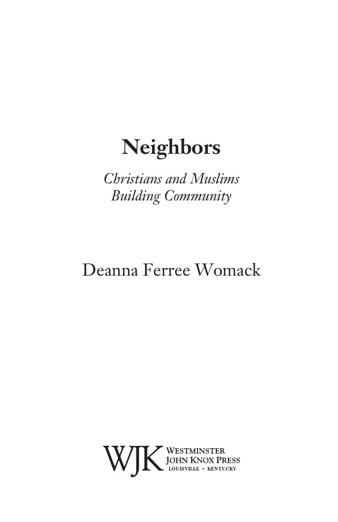*Christians and Muslims Building Community*

## Deanna Ferree Womack

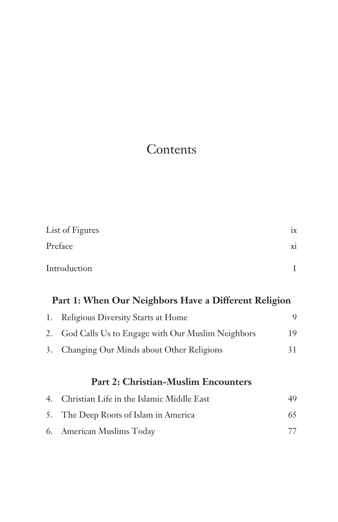## Contents

|    | List of Figures                                      | ix           |  |
|----|------------------------------------------------------|--------------|--|
|    | Preface                                              |              |  |
|    | Introduction                                         | $\mathbf{1}$ |  |
|    | Part 1: When Our Neighbors Have a Different Religion |              |  |
| 1. | <b>Religious Diversity Starts at Home</b>            | 9            |  |
| 2. | God Calls Us to Engage with Our Muslim Neighbors     | 19           |  |
| 3. | Changing Our Minds about Other Religions             | 31           |  |
|    | <b>Part 2: Christian-Muslim Encounters</b>           |              |  |
| 4. | Christian Life in the Islamic Middle East            | 49           |  |
| 5. | The Deep Roots of Islam in America                   | 65           |  |
| 6. | American Muslims Today                               | 77           |  |
|    |                                                      |              |  |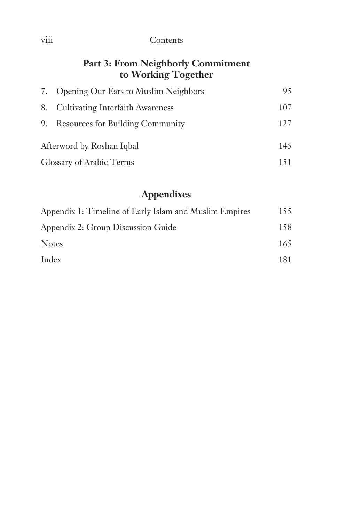## viii Contents

### **Part 3: From Neighborly Commitment to Working Together**

|                           | 7. Opening Our Ears to Muslim Neighbors | 95  |
|---------------------------|-----------------------------------------|-----|
|                           | 8. Cultivating Interfaith Awareness     | 107 |
|                           | 9. Resources for Building Community     | 127 |
| Afterword by Roshan Iqbal |                                         | 145 |
| Glossary of Arabic Terms  |                                         | 151 |

## **Appendixes**

| 155 |
|-----|
| 158 |
| 165 |
| 181 |
|     |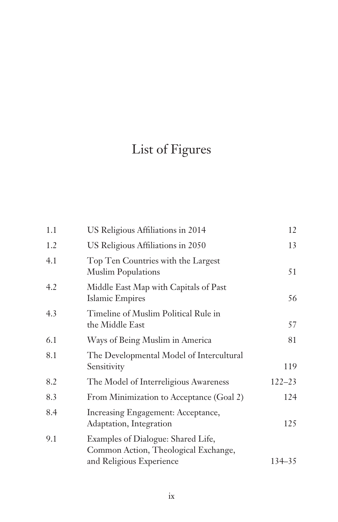## List of Figures

| 1.1 | US Religious Affiliations in 2014                                          | 12         |
|-----|----------------------------------------------------------------------------|------------|
| 1.2 | US Religious Affiliations in 2050                                          | 13         |
| 4.1 | Top Ten Countries with the Largest<br><b>Muslim Populations</b>            | 51         |
| 4.2 | Middle East Map with Capitals of Past<br>Islamic Empires                   | 56         |
| 4.3 | Timeline of Muslim Political Rule in<br>the Middle East                    | 57         |
| 6.1 | Ways of Being Muslim in America                                            | 81         |
| 8.1 | The Developmental Model of Intercultural<br>Sensitivity                    | 119        |
| 8.2 | The Model of Interreligious Awareness                                      | $122 - 23$ |
| 8.3 | From Minimization to Acceptance (Goal 2)                                   | 124        |
| 8.4 | Increasing Engagement: Acceptance,<br>Adaptation, Integration              | 125        |
| 9.1 | Examples of Dialogue: Shared Life,<br>Common Action, Theological Exchange, |            |
|     | and Religious Experience                                                   | $134 - 35$ |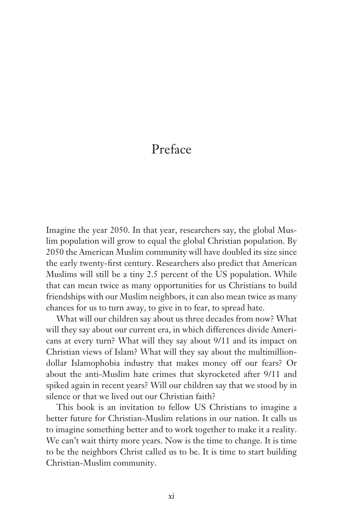## Preface

Imagine the year 2050. In that year, researchers say, the global Muslim population will grow to equal the global Christian population. By 2050 the American Muslim community will have doubled its size since the early twenty-first century. Researchers also predict that American Muslims will still be a tiny 2.5 percent of the US population. While that can mean twice as many opportunities for us Christians to build friendships with our Muslim neighbors, it can also mean twice as many chances for us to turn away, to give in to fear, to spread hate.

What will our children say about us three decades from now? What will they say about our current era, in which differences divide Americans at every turn? What will they say about 9/11 and its impact on Christian views of Islam? What will they say about the multimilliondollar Islamophobia industry that makes money off our fears? Or about the anti-Muslim hate crimes that skyrocketed after 9/11 and spiked again in recent years? Will our children say that we stood by in silence or that we lived out our Christian faith?

This book is an invitation to fellow US Christians to imagine a better future for Christian-Muslim relations in our nation. It calls us to imagine something better and to work together to make it a reality. We can't wait thirty more years. Now is the time to change. It is time to be the neighbors Christ called us to be. It is time to start building Christian-Muslim community.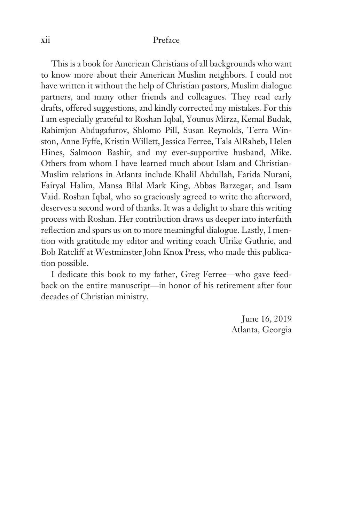#### xii Preface

This is a book for American Christians of all backgrounds who want to know more about their American Muslim neighbors. I could not have written it without the help of Christian pastors, Muslim dialogue partners, and many other friends and colleagues. They read early drafts, offered suggestions, and kindly corrected my mistakes. For this I am especially grateful to Roshan Iqbal, Younus Mirza, Kemal Budak, Rahimjon Abdugafurov, Shlomo Pill, Susan Reynolds, Terra Winston, Anne Fyffe, Kristin Willett, Jessica Ferree, Tala AlRaheb, Helen Hines, Salmoon Bashir, and my ever-supportive husband, Mike. Others from whom I have learned much about Islam and Christian-Muslim relations in Atlanta include Khalil Abdullah, Farida Nurani, Fairyal Halim, Mansa Bilal Mark King, Abbas Barzegar, and Isam Vaid. Roshan Iqbal, who so graciously agreed to write the afterword, deserves a second word of thanks. It was a delight to share this writing process with Roshan. Her contribution draws us deeper into interfaith reflection and spurs us on to more meaningful dialogue. Lastly, I mention with gratitude my editor and writing coach Ulrike Guthrie, and Bob Ratcliff at Westminster John Knox Press, who made this publication possible.

I dedicate this book to my father, Greg Ferree—who gave feedback on the entire manuscript—in honor of his retirement after four decades of Christian ministry.

> June 16, 2019 Atlanta, Georgia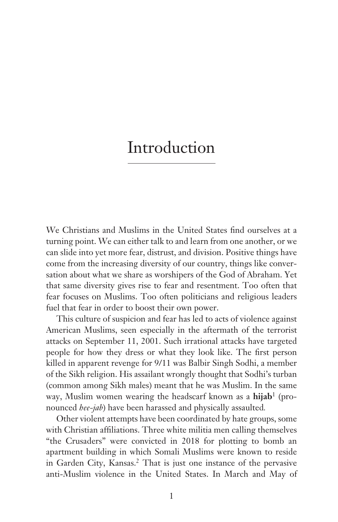## Introduction

We Christians and Muslims in the United States find ourselves at a turning point. We can either talk to and learn from one another, or we can slide into yet more fear, distrust, and division. Positive things have come from the increasing diversity of our country, things like conversation about what we share as worshipers of the God of Abraham. Yet that same diversity gives rise to fear and resentment. Too often that fear focuses on Muslims. Too often politicians and religious leaders fuel that fear in order to boost their own power.

This culture of suspicion and fear has led to acts of violence against American Muslims, seen especially in the aftermath of the terrorist attacks on September 11, 2001. Such irrational attacks have targeted people for how they dress or what they look like. The first person killed in apparent revenge for 9/11 was Balbir Singh Sodhi, a member of the Sikh religion. His assailant wrongly thought that Sodhi's turban (common among Sikh males) meant that he was Muslim. In the same way, Muslim women wearing the headscarf known as a **hijab**<sup>1</sup> (pronounced *hee-jab*) have been harassed and physically assaulted*.*

Other violent attempts have been coordinated by hate groups, some with Christian affiliations. Three white militia men calling themselves "the Crusaders" were convicted in 2018 for plotting to bomb an apartment building in which Somali Muslims were known to reside in Garden City, Kansas.<sup>2</sup> That is just one instance of the pervasive anti-Muslim violence in the United States. In March and May of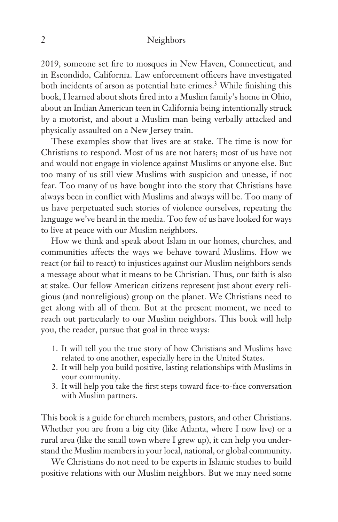2019, someone set fire to mosques in New Haven, Connecticut, and in Escondido, California. Law enforcement officers have investigated both incidents of arson as potential hate crimes.<sup>3</sup> While finishing this book, I learned about shots fired into a Muslim family's home in Ohio, about an Indian American teen in California being intentionally struck by a motorist, and about a Muslim man being verbally attacked and physically assaulted on a New Jersey train.

These examples show that lives are at stake. The time is now for Christians to respond. Most of us are not haters; most of us have not and would not engage in violence against Muslims or anyone else. But too many of us still view Muslims with suspicion and unease, if not fear. Too many of us have bought into the story that Christians have always been in conflict with Muslims and always will be. Too many of us have perpetuated such stories of violence ourselves, repeating the language we've heard in the media. Too few of us have looked for ways to live at peace with our Muslim neighbors.

How we think and speak about Islam in our homes, churches, and communities affects the ways we behave toward Muslims. How we react (or fail to react) to injustices against our Muslim neighbors sends a message about what it means to be Christian. Thus, our faith is also at stake. Our fellow American citizens represent just about every religious (and nonreligious) group on the planet. We Christians need to get along with all of them. But at the present moment, we need to reach out particularly to our Muslim neighbors. This book will help you, the reader, pursue that goal in three ways:

- 1. It will tell you the true story of how Christians and Muslims have related to one another, especially here in the United States.
- 2. It will help you build positive, lasting relationships with Muslims in your community.
- 3. It will help you take the first steps toward face-to-face conversation with Muslim partners.

This book is a guide for church members, pastors, and other Christians. Whether you are from a big city (like Atlanta, where I now live) or a rural area (like the small town where I grew up), it can help you understand the Muslim members in your local, national, or global community.

We Christians do not need to be experts in Islamic studies to build positive relations with our Muslim neighbors. But we may need some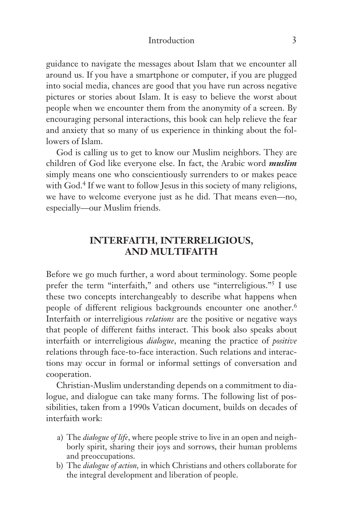#### Introduction 3

guidance to navigate the messages about Islam that we encounter all around us. If you have a smartphone or computer, if you are plugged into social media, chances are good that you have run across negative pictures or stories about Islam. It is easy to believe the worst about people when we encounter them from the anonymity of a screen. By encouraging personal interactions, this book can help relieve the fear and anxiety that so many of us experience in thinking about the followers of Islam.

God is calling us to get to know our Muslim neighbors. They are children of God like everyone else. In fact, the Arabic word *muslim* simply means one who conscientiously surrenders to or makes peace with God.4 If we want to follow Jesus in this society of many religions, we have to welcome everyone just as he did. That means even—no, especially—our Muslim friends.

### **INTERFAITH, INTERRELIGIOUS, AND MULTIFAITH**

Before we go much further, a word about terminology. Some people prefer the term "interfaith," and others use "interreligious."5 I use these two concepts interchangeably to describe what happens when people of different religious backgrounds encounter one another.<sup>6</sup> Interfaith or interreligious *relations* are the positive or negative ways that people of different faiths interact. This book also speaks about interfaith or interreligious *dialogue*, meaning the practice of *positive* relations through face-to-face interaction. Such relations and interactions may occur in formal or informal settings of conversation and cooperation.

Christian-Muslim understanding depends on a commitment to dialogue, and dialogue can take many forms. The following list of possibilities, taken from a 1990s Vatican document, builds on decades of interfaith work:

- a) The *dialogue of life*, where people strive to live in an open and neighborly spirit, sharing their joys and sorrows, their human problems and preoccupations.
- b) The *dialogue of action,* in which Christians and others collaborate for the integral development and liberation of people.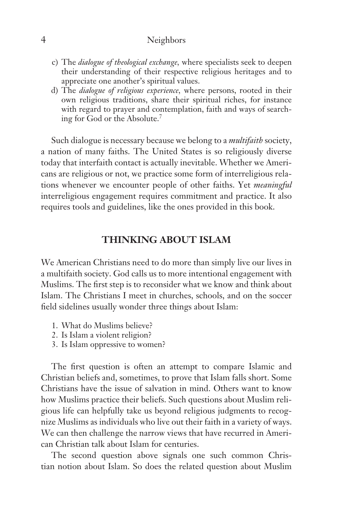- c) The *dialogue of theological exchange,* where specialists seek to deepen their understanding of their respective religious heritages and to appreciate one another's spiritual values.
- d) The *dialogue of religious experience,* where persons, rooted in their own religious traditions, share their spiritual riches, for instance with regard to prayer and contemplation, faith and ways of searching for God or the Absolute.7

Such dialogue is necessary because we belong to a *multifaith* society, a nation of many faiths. The United States is so religiously diverse today that interfaith contact is actually inevitable. Whether we Americans are religious or not, we practice some form of interreligious relations whenever we encounter people of other faiths. Yet *meaningful* interreligious engagement requires commitment and practice. It also requires tools and guidelines, like the ones provided in this book.

### **THINKING ABOUT ISLAM**

We American Christians need to do more than simply live our lives in a multifaith society. God calls us to more intentional engagement with Muslims. The first step is to reconsider what we know and think about Islam. The Christians I meet in churches, schools, and on the soccer field sidelines usually wonder three things about Islam:

- 1. What do Muslims believe?
- 2. Is Islam a violent religion?
- 3. Is Islam oppressive to women?

The first question is often an attempt to compare Islamic and Christian beliefs and, sometimes, to prove that Islam falls short. Some Christians have the issue of salvation in mind. Others want to know how Muslims practice their beliefs. Such questions about Muslim religious life can helpfully take us beyond religious judgments to recognize Muslims as individuals who live out their faith in a variety of ways. We can then challenge the narrow views that have recurred in American Christian talk about Islam for centuries.

The second question above signals one such common Christian notion about Islam. So does the related question about Muslim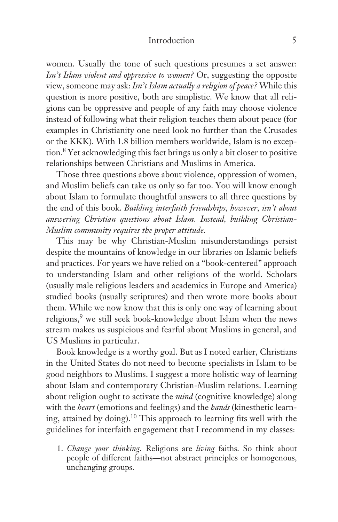#### Introduction 5

women. Usually the tone of such questions presumes a set answer: *Isn't Islam violent and oppressive to women?* Or, suggesting the opposite view, someone may ask: *Isn't Islam actually a religion of peace?* While this question is more positive, both are simplistic. We know that all religions can be oppressive and people of any faith may choose violence instead of following what their religion teaches them about peace (for examples in Christianity one need look no further than the Crusades or the KKK). With 1.8 billion members worldwide, Islam is no exception.8 Yet acknowledging this fact brings us only a bit closer to positive relationships between Christians and Muslims in America.

Those three questions above about violence, oppression of women, and Muslim beliefs can take us only so far too. You will know enough about Islam to formulate thoughtful answers to all three questions by the end of this book. *Building interfaith friendships, however, isn't about answering Christian questions about Islam. Instead, building Christian-Muslim community requires the proper attitude.* 

This may be why Christian-Muslim misunderstandings persist despite the mountains of knowledge in our libraries on Islamic beliefs and practices. For years we have relied on a "book-centered" approach to understanding Islam and other religions of the world. Scholars (usually male religious leaders and academics in Europe and America) studied books (usually scriptures) and then wrote more books about them. While we now know that this is only one way of learning about religions,<sup>9</sup> we still seek book-knowledge about Islam when the news stream makes us suspicious and fearful about Muslims in general, and US Muslims in particular.

Book knowledge is a worthy goal. But as I noted earlier, Christians in the United States do not need to become specialists in Islam to be good neighbors to Muslims. I suggest a more holistic way of learning about Islam and contemporary Christian-Muslim relations. Learning about religion ought to activate the *mind* (cognitive knowledge) along with the *heart* (emotions and feelings) and the *hands* (kinesthetic learning, attained by doing).10 This approach to learning fits well with the guidelines for interfaith engagement that I recommend in my classes:

1. *Change your thinking.* Religions are *living* faiths. So think about people of different faiths—not abstract principles or homogenous, unchanging groups.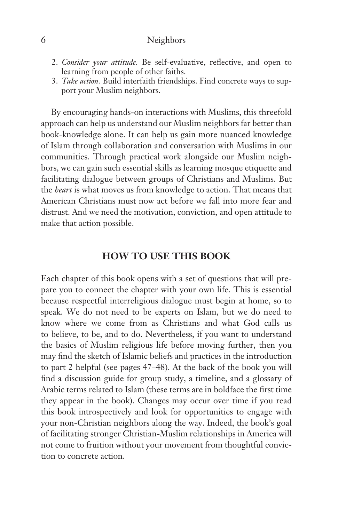- 2. *Consider your attitude.* Be self-evaluative, reflective, and open to learning from people of other faiths.
- 3. *Take action.* Build interfaith friendships. Find concrete ways to support your Muslim neighbors.

By encouraging hands-on interactions with Muslims, this threefold approach can help us understand our Muslim neighbors far better than book-knowledge alone. It can help us gain more nuanced knowledge of Islam through collaboration and conversation with Muslims in our communities. Through practical work alongside our Muslim neighbors, we can gain such essential skills as learning mosque etiquette and facilitating dialogue between groups of Christians and Muslims. But the *heart* is what moves us from knowledge to action. That means that American Christians must now act before we fall into more fear and distrust. And we need the motivation, conviction, and open attitude to make that action possible.

#### **HOW TO USE THIS BOOK**

Each chapter of this book opens with a set of questions that will prepare you to connect the chapter with your own life. This is essential because respectful interreligious dialogue must begin at home, so to speak. We do not need to be experts on Islam, but we do need to know where we come from as Christians and what God calls us to believe, to be, and to do. Nevertheless, if you want to understand the basics of Muslim religious life before moving further, then you may find the sketch of Islamic beliefs and practices in the introduction to part 2 helpful (see pages 47–48). At the back of the book you will find a discussion guide for group study, a timeline, and a glossary of Arabic terms related to Islam (these terms are in boldface the first time they appear in the book). Changes may occur over time if you read this book introspectively and look for opportunities to engage with your non-Christian neighbors along the way. Indeed, the book's goal of facilitating stronger Christian-Muslim relationships in America will not come to fruition without your movement from thoughtful conviction to concrete action.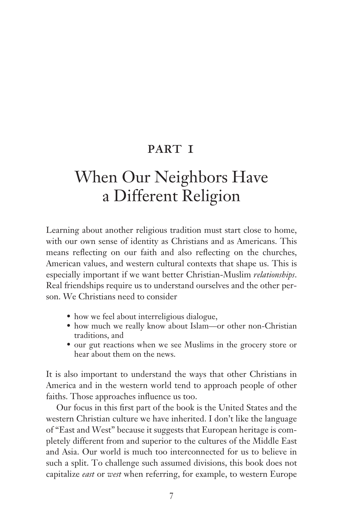## PART I

## When Our Neighbors Have a Different Religion

Learning about another religious tradition must start close to home, with our own sense of identity as Christians and as Americans. This means reflecting on our faith and also reflecting on the churches, American values, and western cultural contexts that shape us. This is especially important if we want better Christian-Muslim *relationships*. Real friendships require us to understand ourselves and the other person. We Christians need to consider

- how we feel about interreligious dialogue,
- how much we really know about Islam—or other non-Christian traditions, and
- our gut reactions when we see Muslims in the grocery store or hear about them on the news.

It is also important to understand the ways that other Christians in America and in the western world tend to approach people of other faiths. Those approaches influence us too.

Our focus in this first part of the book is the United States and the western Christian culture we have inherited. I don't like the language of "East and West" because it suggests that European heritage is completely different from and superior to the cultures of the Middle East and Asia. Our world is much too interconnected for us to believe in such a split. To challenge such assumed divisions, this book does not capitalize *east* or *west* when referring, for example, to western Europe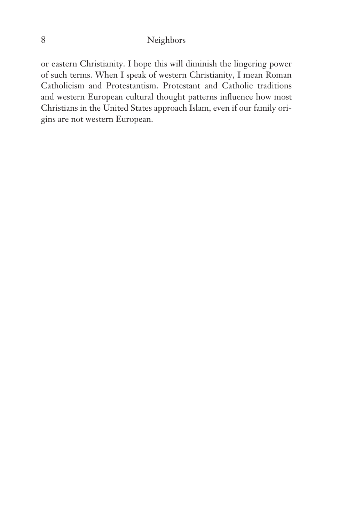or eastern Christianity. I hope this will diminish the lingering power of such terms. When I speak of western Christianity, I mean Roman Catholicism and Protestantism. Protestant and Catholic traditions and western European cultural thought patterns influence how most Christians in the United States approach Islam, even if our family origins are not western European.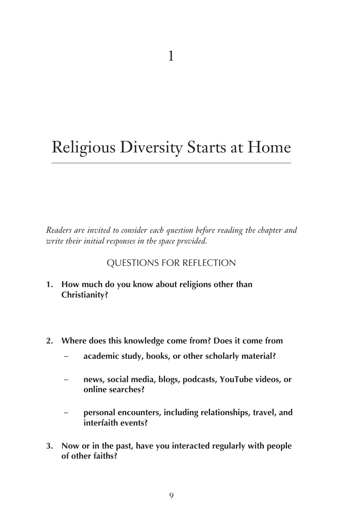## Religious Diversity Starts at Home

*Readers are invited to consider each question before reading the chapter and write their initial responses in the space provided.*

### QUESTIONS FOR REFLECTION

- **1. How much do you know about religions other than Christianity?**
- **2. Where does this knowledge come from? Does it come from**
	- **academic study, books, or other scholarly material?**
	- **news, social media, blogs, podcasts, YouTube videos, or online searches?**
	- **personal encounters, including relationships, travel, and interfaith events?**
- **3. Now or in the past, have you interacted regularly with people of other faiths?**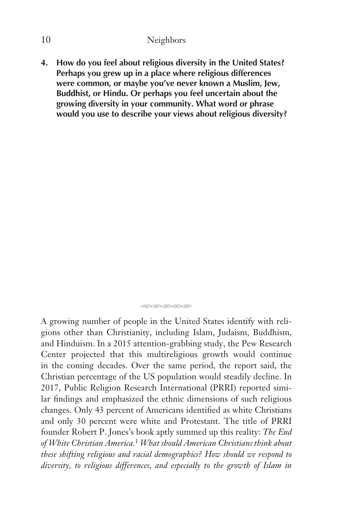**4. How do you feel about religious diversity in the United States? Perhaps you grew up in a place where religious differences were common, or maybe you've never known a Muslim, Jew, Buddhist, or Hindu. Or perhaps you feel uncertain about the growing diversity in your community. What word or phrase would you use to describe your views about religious diversity?**

QQ<del>QQQQQQQ</del>

A growing number of people in the United States identify with religions other than Christianity, including Islam, Judaism, Buddhism, and Hinduism. In a 2015 attention-grabbing study, the Pew Research Center projected that this multireligious growth would continue in the coming decades. Over the same period, the report said, the Christian percentage of the US population would steadily decline. In 2017, Public Religion Research International (PRRI) reported similar findings and emphasized the ethnic dimensions of such religious changes. Only 43 percent of Americans identified as white Christians and only 30 percent were white and Protestant. The title of PRRI founder Robert P. Jones's book aptly summed up this reality: *The End of White Christian America.*<sup>1</sup> *What should American Christians think about these shifting religious and racial demographics? How should we respond to diversity, to religious differences, and especially to the growth of Islam in*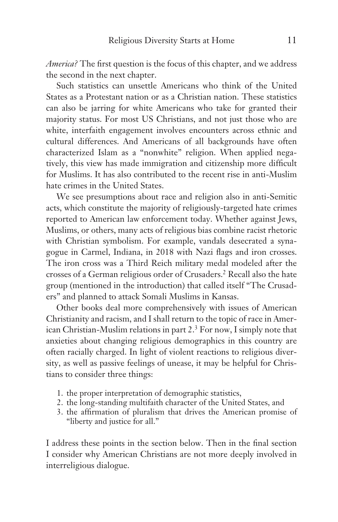*America?* The first question is the focus of this chapter, and we address the second in the next chapter.

Such statistics can unsettle Americans who think of the United States as a Protestant nation or as a Christian nation. These statistics can also be jarring for white Americans who take for granted their majority status. For most US Christians, and not just those who are white, interfaith engagement involves encounters across ethnic and cultural differences. And Americans of all backgrounds have often characterized Islam as a "nonwhite" religion. When applied negatively, this view has made immigration and citizenship more difficult for Muslims. It has also contributed to the recent rise in anti-Muslim hate crimes in the United States.

We see presumptions about race and religion also in anti-Semitic acts, which constitute the majority of religiously-targeted hate crimes reported to American law enforcement today. Whether against Jews, Muslims, or others, many acts of religious bias combine racist rhetoric with Christian symbolism. For example, vandals desecrated a synagogue in Carmel, Indiana, in 2018 with Nazi flags and iron crosses. The iron cross was a Third Reich military medal modeled after the crosses of a German religious order of Crusaders.2 Recall also the hate group (mentioned in the introduction) that called itself "The Crusaders" and planned to attack Somali Muslims in Kansas.

Other books deal more comprehensively with issues of American Christianity and racism, and I shall return to the topic of race in American Christian-Muslim relations in part 2.3 For now, I simply note that anxieties about changing religious demographics in this country are often racially charged. In light of violent reactions to religious diversity, as well as passive feelings of unease, it may be helpful for Christians to consider three things:

- 1. the proper interpretation of demographic statistics,
- 2. the long-standing multifaith character of the United States, and
- 3. the affirmation of pluralism that drives the American promise of "liberty and justice for all."

I address these points in the section below. Then in the final section I consider why American Christians are not more deeply involved in interreligious dialogue.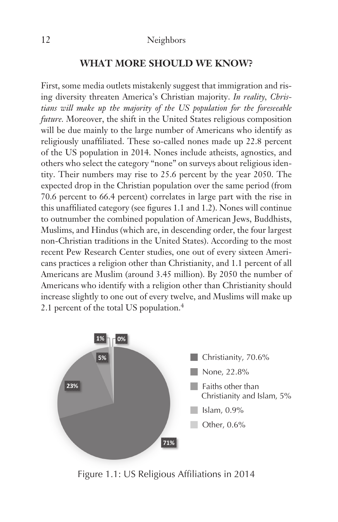#### **WHAT MORE SHOULD WE KNOW?**

First, some media outlets mistakenly suggest that immigration and rising diversity threaten America's Christian majority. *In reality, Christians will make up the majority of the US population for the foreseeable future.* Moreover, the shift in the United States religious composition will be due mainly to the large number of Americans who identify as religiously unaffiliated. These so-called nones made up 22.8 percent of the US population in 2014. Nones include atheists, agnostics, and others who select the category "none" on surveys about religious identity. Their numbers may rise to 25.6 percent by the year 2050. The expected drop in the Christian population over the same period (from 70.6 percent to 66.4 percent) correlates in large part with the rise in this unaffiliated category (see figures 1.1 and 1.2). Nones will continue to outnumber the combined population of American Jews, Buddhists, Muslims, and Hindus (which are, in descending order, the four largest non-Christian traditions in the United States). According to the most recent Pew Research Center studies, one out of every sixteen Americans practices a religion other than Christianity, and 1.1 percent of all Americans are Muslim (around 3.45 million). By 2050 the number of Americans who identify with a religion other than Christianity should increase slightly to one out of every twelve, and Muslims will make up 2.1 percent of the total US population.4



Figure 1.1: US Religious Affiliations in 2014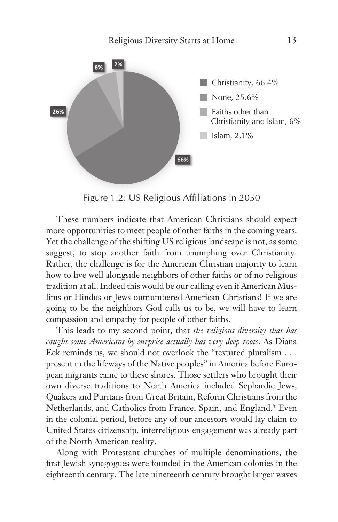

Figure 1.2: US Religious Affiliations in 2050

These numbers indicate that American Christians should expect more opportunities to meet people of other faiths in the coming years. Yet the challenge of the shifting US religious landscape is not, as some suggest, to stop another faith from triumphing over Christianity. Rather, the challenge is for the American Christian majority to learn how to live well alongside neighbors of other faiths or of no religious tradition at all. Indeed this would be our calling even if American Muslims or Hindus or Jews outnumbered American Christians! If we are going to be the neighbors God calls us to be, we will have to learn compassion and empathy for people of other faiths.

This leads to my second point, that *the religious diversity that has caught some Americans by surprise actually has very deep roots*. As Diana Eck reminds us, we should not overlook the "textured pluralism . . . present in the lifeways of the Native peoples" in America before European migrants came to these shores. Those settlers who brought their own diverse traditions to North America included Sephardic Jews, Quakers and Puritans from Great Britain, Reform Christians from the Netherlands, and Catholics from France, Spain, and England.<sup>5</sup> Even in the colonial period, before any of our ancestors would lay claim to United States citizenship, interreligious engagement was already part of the North American reality.

Along with Protestant churches of multiple denominations, the first Jewish synagogues were founded in the American colonies in the eighteenth century. The late nineteenth century brought larger waves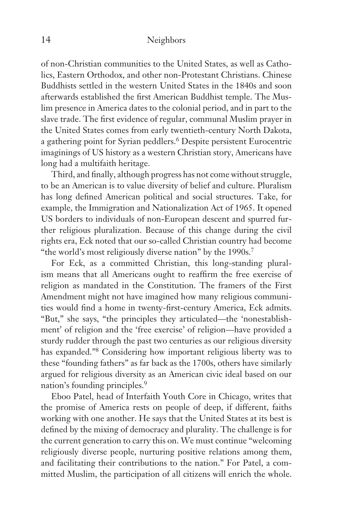of non-Christian communities to the United States, as well as Catholics, Eastern Orthodox, and other non-Protestant Christians. Chinese Buddhists settled in the western United States in the 1840s and soon afterwards established the first American Buddhist temple. The Muslim presence in America dates to the colonial period, and in part to the slave trade. The first evidence of regular, communal Muslim prayer in the United States comes from early twentieth-century North Dakota, a gathering point for Syrian peddlers.<sup>6</sup> Despite persistent Eurocentric imaginings of US history as a western Christian story, Americans have long had a multifaith heritage.

Third, and finally, although progress has not come without struggle, to be an American is to value diversity of belief and culture. Pluralism has long defined American political and social structures. Take, for example, the Immigration and Nationalization Act of 1965. It opened US borders to individuals of non-European descent and spurred further religious pluralization. Because of this change during the civil rights era, Eck noted that our so-called Christian country had become "the world's most religiously diverse nation" by the 1990s.<sup>7</sup>

For Eck, as a committed Christian, this long-standing pluralism means that all Americans ought to reaffirm the free exercise of religion as mandated in the Constitution. The framers of the First Amendment might not have imagined how many religious communities would find a home in twenty-first-century America, Eck admits. "But," she says, "the principles they articulated—the 'nonestablishment' of religion and the 'free exercise' of religion—have provided a sturdy rudder through the past two centuries as our religious diversity has expanded."8 Considering how important religious liberty was to these "founding fathers" as far back as the 1700s, others have similarly argued for religious diversity as an American civic ideal based on our nation's founding principles.9

Eboo Patel, head of Interfaith Youth Core in Chicago, writes that the promise of America rests on people of deep, if different, faiths working with one another. He says that the United States at its best is defined by the mixing of democracy and plurality. The challenge is for the current generation to carry this on. We must continue "welcoming religiously diverse people, nurturing positive relations among them, and facilitating their contributions to the nation." For Patel, a committed Muslim, the participation of all citizens will enrich the whole.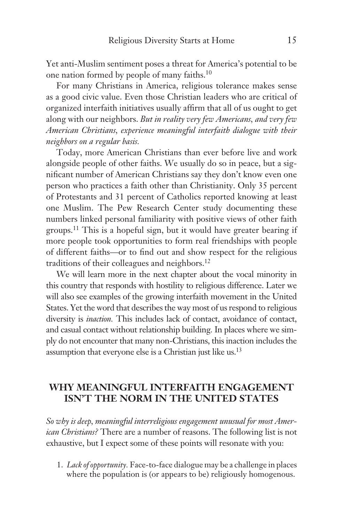Yet anti-Muslim sentiment poses a threat for America's potential to be one nation formed by people of many faiths.10

For many Christians in America, religious tolerance makes sense as a good civic value. Even those Christian leaders who are critical of organized interfaith initiatives usually affirm that all of us ought to get along with our neighbors. *But in reality very few Americans, and very few American Christians, experience meaningful interfaith dialogue with their neighbors on a regular basis.* 

Today, more American Christians than ever before live and work alongside people of other faiths. We usually do so in peace, but a significant number of American Christians say they don't know even one person who practices a faith other than Christianity. Only 35 percent of Protestants and 31 percent of Catholics reported knowing at least one Muslim. The Pew Research Center study documenting these numbers linked personal familiarity with positive views of other faith groups.11 This is a hopeful sign, but it would have greater bearing if more people took opportunities to form real friendships with people of different faiths—or to find out and show respect for the religious traditions of their colleagues and neighbors.12

We will learn more in the next chapter about the vocal minority in this country that responds with hostility to religious difference. Later we will also see examples of the growing interfaith movement in the United States. Yet the word that describes the way most of us respond to religious diversity is *inaction.* This includes lack of contact, avoidance of contact, and casual contact without relationship building*.* In places where we simply do not encounter that many non-Christians, this inaction includes the assumption that everyone else is a Christian just like us.13

### **WHY MEANINGFUL INTERFAITH ENGAGEMENT ISN'T THE NORM IN THE UNITED STATES**

*So why is deep, meaningful interreligious engagement unusual for most American Christians?* There are a number of reasons. The following list is not exhaustive, but I expect some of these points will resonate with you:

1. *Lack of opportunity.* Face-to-face dialogue may be a challenge in places where the population is (or appears to be) religiously homogenous.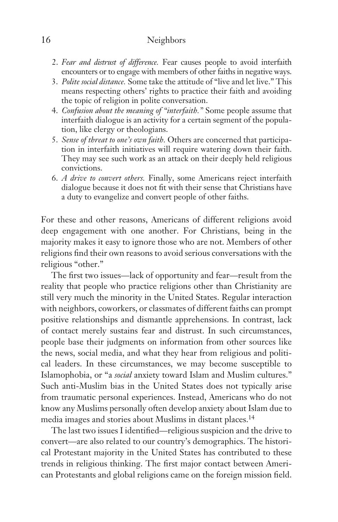- 2. *Fear and distrust of difference.* Fear causes people to avoid interfaith encounters or to engage with members of other faiths in negative ways.
- 3. *Polite social distance.* Some take the attitude of "live and let live." This means respecting others' rights to practice their faith and avoiding the topic of religion in polite conversation.
- 4. *Confusion about the meaning of "interfaith."* Some people assume that interfaith dialogue is an activity for a certain segment of the population, like clergy or theologians.
- 5. *Sense of threat to one's own faith.* Others are concerned that participation in interfaith initiatives will require watering down their faith. They may see such work as an attack on their deeply held religious convictions.
- 6. *A drive to convert others.* Finally, some Americans reject interfaith dialogue because it does not fit with their sense that Christians have a duty to evangelize and convert people of other faiths.

For these and other reasons, Americans of different religions avoid deep engagement with one another. For Christians, being in the majority makes it easy to ignore those who are not. Members of other religions find their own reasons to avoid serious conversations with the religious "other."

The first two issues—lack of opportunity and fear—result from the reality that people who practice religions other than Christianity are still very much the minority in the United States. Regular interaction with neighbors, coworkers, or classmates of different faiths can prompt positive relationships and dismantle apprehensions. In contrast, lack of contact merely sustains fear and distrust. In such circumstances, people base their judgments on information from other sources like the news, social media, and what they hear from religious and political leaders. In these circumstances, we may become susceptible to Islamophobia, or "a *social* anxiety toward Islam and Muslim cultures." Such anti-Muslim bias in the United States does not typically arise from traumatic personal experiences. Instead, Americans who do not know any Muslims personally often develop anxiety about Islam due to media images and stories about Muslims in distant places.<sup>14</sup>

The last two issues I identified—religious suspicion and the drive to convert—are also related to our country's demographics. The historical Protestant majority in the United States has contributed to these trends in religious thinking. The first major contact between American Protestants and global religions came on the foreign mission field.